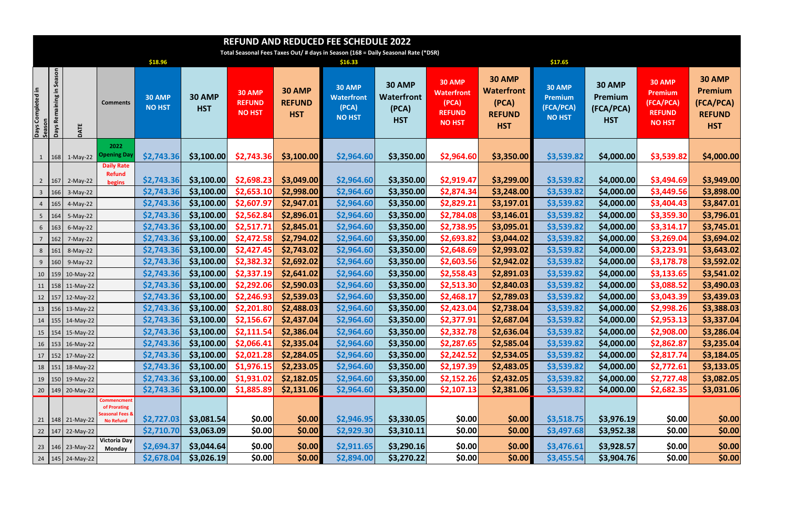| <b>REFUND AND REDUCED FEE SCHEDULE 2022</b>                                       |                                          |                      |                                                                               |                                |                             |                                          |                                              |                                                              |                                                    |                                                                               |                                                                            |                                                        |                                                     |                                                                                |                                                                             |
|-----------------------------------------------------------------------------------|------------------------------------------|----------------------|-------------------------------------------------------------------------------|--------------------------------|-----------------------------|------------------------------------------|----------------------------------------------|--------------------------------------------------------------|----------------------------------------------------|-------------------------------------------------------------------------------|----------------------------------------------------------------------------|--------------------------------------------------------|-----------------------------------------------------|--------------------------------------------------------------------------------|-----------------------------------------------------------------------------|
| Total Seasonal Fees Taxes Out/ # days in Season (168 = Daily Seasonal Rate (*DSR) |                                          |                      |                                                                               |                                |                             |                                          |                                              |                                                              |                                                    |                                                                               |                                                                            |                                                        |                                                     |                                                                                |                                                                             |
|                                                                                   |                                          |                      |                                                                               | \$18.96                        |                             |                                          |                                              | \$16.33                                                      |                                                    |                                                                               |                                                                            | \$17.65                                                |                                                     |                                                                                |                                                                             |
| Days Completed in<br>Season                                                       | Season<br>크.<br>Remaining<br><b>Days</b> | DATE                 | <b>Comments</b>                                                               | <b>30 AMP</b><br><b>NO HST</b> | <b>30 AMP</b><br><b>HST</b> | 30 AMP<br><b>REFUND</b><br><b>NO HST</b> | <b>30 AMP</b><br><b>REFUND</b><br><b>HST</b> | <b>30 AMP</b><br><b>Waterfront</b><br>(PCA)<br><b>NO HST</b> | <b>30 AMP</b><br>Waterfront<br>(PCA)<br><b>HST</b> | <b>30 AMP</b><br><b>Waterfront</b><br>(PCA)<br><b>REFUND</b><br><b>NO HST</b> | <b>30 AMP</b><br><b>Waterfront</b><br>(PCA)<br><b>REFUND</b><br><b>HST</b> | <b>30 AMP</b><br>Premium<br>(FCA/PCA)<br><b>NO HST</b> | <b>30 AMP</b><br>Premium<br>(FCA/PCA)<br><b>HST</b> | <b>30 AMP</b><br><b>Premium</b><br>(FCA/PCA)<br><b>REFUND</b><br><b>NO HST</b> | <b>30 AMP</b><br><b>Premium</b><br>(FCA/PCA)<br><b>REFUND</b><br><b>HST</b> |
|                                                                                   |                                          | 1 $ 168 $ 1-May-22   | 2022<br><b>Opening Day</b>                                                    | \$2,743.36                     | \$3,100.00                  | \$2,743.36                               | \$3,100.00                                   | \$2,964.60                                                   | \$3,350.00                                         | \$2,964.60                                                                    | \$3,350.00                                                                 | \$3,539.82                                             | \$4,000.00]                                         | \$3,539.82                                                                     | \$4,000.00                                                                  |
|                                                                                   | $2 \mid 167$                             | $2-May-22$           | <b>Daily Rate</b><br><b>Refund</b><br>begins                                  | \$2,743.36                     | \$3,100.00                  | \$2,698.23                               | \$3,049.00                                   | \$2,964.60                                                   | \$3,350.00                                         | \$2,919.47                                                                    | \$3,299.00                                                                 | \$3,539.82                                             | \$4,000.00                                          | \$3,494.69                                                                     | \$3,949.00                                                                  |
| $\mathbf{3}$                                                                      | 166                                      | $3-May-22$           |                                                                               | \$2,743.36                     | \$3,100.00                  | \$2,653.10                               | \$2,998.00                                   | \$2,964.60                                                   | \$3,350.00                                         | \$2,874.34                                                                    | \$3,248.00                                                                 | \$3,539.82                                             | \$4,000.00                                          | \$3,449.56                                                                     | \$3,898.00                                                                  |
| $\overline{4}$                                                                    | 165                                      | 4-May-22             |                                                                               | \$2,743.36                     | \$3,100.00                  | \$2,607.97                               | \$2,947.01                                   | \$2,964.60                                                   | \$3,350.00                                         | \$2,829.21                                                                    | \$3,197.01                                                                 | \$3,539.82                                             | \$4,000.00                                          | \$3,404.43                                                                     | \$3,847.01                                                                  |
| 5 <sub>1</sub>                                                                    | 164                                      | 5-May-22             |                                                                               | \$2,743.36                     | \$3,100.00                  | \$2,562.84                               | \$2,896.01                                   | \$2,964.60                                                   | \$3,350.00                                         | \$2,784.08                                                                    | \$3,146.01                                                                 | \$3,539.82                                             | \$4,000.00                                          | \$3,359.30                                                                     | \$3,796.01                                                                  |
| $6\overline{6}$                                                                   | 163                                      | $6$ -May-22          |                                                                               | \$2,743.36                     | \$3,100.00                  | \$2,517.71                               | \$2,845.01                                   | \$2,964.60                                                   | \$3,350.00                                         | \$2,738.95                                                                    | \$3,095.01                                                                 | \$3,539.82                                             | \$4,000.00                                          | \$3,314.17                                                                     | \$3,745.01                                                                  |
| $7\overline{ }$                                                                   | 162                                      | 7-May-22             |                                                                               | \$2,743.36                     | \$3,100.00                  | \$2,472.58                               | \$2,794.02                                   | \$2,964.60                                                   | \$3,350.00                                         | \$2,693.82                                                                    | \$3,044.02                                                                 | \$3,539.82                                             | \$4,000.00                                          | \$3,269.04                                                                     | \$3,694.02                                                                  |
| 8                                                                                 | 161                                      | 8-May-22             |                                                                               | \$2,743.36                     | \$3,100.00                  | \$2,427.45                               | \$2,743.02                                   | \$2,964.60                                                   | \$3,350.00                                         | \$2,648.69                                                                    | \$2,993.02                                                                 | \$3,539.82                                             | \$4,000.00                                          | \$3,223.91                                                                     | \$3,643.02                                                                  |
| 9 <sub>o</sub>                                                                    | 160                                      | $9-May-22$           |                                                                               | \$2,743.36                     | \$3,100.00                  | \$2,382.32                               | \$2,692.02                                   | \$2,964.60                                                   | \$3,350.00                                         | \$2,603.56                                                                    | \$2,942.02                                                                 | \$3,539.82                                             | \$4,000.00                                          | \$3,178.78                                                                     | \$3,592.02                                                                  |
|                                                                                   |                                          | 10   159   10-May-22 |                                                                               | \$2,743.36                     | \$3,100.00                  | \$2,337.19                               | \$2,641.02                                   | \$2,964.60                                                   | \$3,350.00                                         | \$2,558.43                                                                    | \$2,891.03                                                                 | \$3,539.82                                             | \$4,000.00                                          | \$3,133.65                                                                     | \$3,541.02                                                                  |
|                                                                                   |                                          | 11   158   11-May-22 |                                                                               | \$2,743.36                     | \$3,100.00                  | \$2,292.06                               | \$2,590.03                                   | \$2,964.60                                                   | \$3,350.00                                         | \$2,513.30                                                                    | \$2,840.03                                                                 | \$3,539.82                                             | \$4,000.00                                          | \$3,088.52                                                                     | \$3,490.03                                                                  |
|                                                                                   |                                          | 12   157   12-May-22 |                                                                               | \$2,743.36                     | \$3,100.00                  | \$2,246.93                               | \$2,539.03                                   | \$2,964.60                                                   | \$3,350.00                                         | \$2,468.17                                                                    | \$2,789.03                                                                 | \$3,539.82                                             | \$4,000.00                                          | \$3,043.39                                                                     | \$3,439.03                                                                  |
|                                                                                   |                                          | 13   156   13-May-22 |                                                                               | \$2,743.36                     | \$3,100.00                  | \$2,201.80                               | \$2,488.03                                   | \$2,964.60                                                   | \$3,350.00                                         | \$2,423.04                                                                    | \$2,738.04                                                                 | \$3,539.82                                             | \$4,000.00                                          | \$2,998.26                                                                     | \$3,388.03                                                                  |
|                                                                                   |                                          | 14   155   14-May-22 |                                                                               | \$2,743.36                     | \$3,100.00                  | \$2,156.67                               | \$2,437.04                                   | \$2,964.60                                                   | \$3,350.00                                         | \$2,377.91                                                                    | \$2,687.04                                                                 | \$3,539.82                                             | \$4,000.00                                          | \$2,953.13                                                                     | \$3,337.04                                                                  |
|                                                                                   |                                          | 15   154   15-May-22 |                                                                               | \$2,743.36                     | \$3,100.00                  | \$2,111.54                               | \$2,386.04                                   | \$2,964.60                                                   | \$3,350.00                                         | \$2,332.78                                                                    | \$2,636.04                                                                 | \$3,539.82                                             | \$4,000.00                                          | \$2,908.00                                                                     | \$3,286.04                                                                  |
|                                                                                   |                                          | 16   153   16-May-22 |                                                                               | \$2,743.36                     | \$3,100.00                  | \$2,066.41                               | \$2,335.04                                   | \$2,964.60                                                   | \$3,350.00                                         | \$2,287.65                                                                    | \$2,585.04                                                                 | \$3,539.82                                             | \$4,000.00                                          | \$2,862.87                                                                     | \$3,235.04                                                                  |
|                                                                                   |                                          | 17   152   17-May-22 |                                                                               | \$2,743.36                     | \$3,100.00                  | \$2,021.28                               | \$2,284.05                                   | \$2,964.60                                                   | \$3,350.00                                         | \$2,242.52                                                                    | \$2,534.05                                                                 | \$3,539.82                                             | \$4,000.00                                          | \$2,817.74                                                                     | \$3,184.05                                                                  |
|                                                                                   |                                          | 18   151   18-May-22 |                                                                               | \$2,743.36                     | \$3,100.00                  | \$1,976.15                               | \$2,233.05                                   | \$2,964.60                                                   | \$3,350.00                                         | \$2,197.39                                                                    | \$2,483.05                                                                 | \$3,539.82                                             | \$4,000.00                                          | \$2,772.61                                                                     | \$3,133.05                                                                  |
|                                                                                   |                                          | 19   150   19-May-22 |                                                                               | \$2,743.36                     | \$3,100.00                  | \$1,931.02                               | \$2,182.05                                   | \$2,964.60                                                   | \$3,350.00                                         | \$2,152.26                                                                    | \$2,432.05                                                                 | \$3,539.82                                             | \$4,000.00                                          | \$2,727.48                                                                     | \$3,082.05                                                                  |
|                                                                                   |                                          | 20   149   20-May-22 |                                                                               | \$2,743.36                     | \$3,100.00                  | \$1,885.89                               | \$2,131.06                                   | \$2,964.60                                                   | \$3,350.00                                         | \$2,107.13                                                                    | \$2,381.06                                                                 | \$3,539.82                                             | \$4,000.00                                          | \$2,682.35                                                                     | \$3,031.06                                                                  |
|                                                                                   |                                          | 21   148   21-May-22 | Commencment<br>of Prorating<br><b>Seasonal Fees &amp;</b><br><b>No Refund</b> | \$2,727.03                     | \$3,081.54                  | \$0.00                                   | \$0.00                                       | \$2,946.95                                                   | \$3,330.05                                         | \$0.00                                                                        | \$0.00                                                                     | \$3,518.75                                             | \$3,976.19                                          | \$0.00                                                                         | \$0.00                                                                      |
|                                                                                   |                                          | 22   147   22-May-22 |                                                                               | \$2,710.70                     | \$3,063.09                  | \$0.00                                   | \$0.00                                       | \$2,929.30                                                   | \$3,310.11                                         | \$0.00                                                                        | \$0.00                                                                     | \$3,497.68                                             | \$3,952.38                                          | \$0.00                                                                         | \$0.00                                                                      |
|                                                                                   |                                          | 23   146   23-May-22 | Victoria Day<br><b>Monday</b>                                                 | \$2,694.37                     | \$3,044.64                  | \$0.00                                   | \$0.00                                       | \$2,911.65                                                   | \$3,290.16                                         | \$0.00                                                                        | \$0.00                                                                     | \$3,476.61                                             | \$3,928.57                                          | \$0.00                                                                         | \$0.00                                                                      |
|                                                                                   |                                          | 24   145   24-May-22 |                                                                               | \$2,678.04                     | \$3,026.19                  | \$0.00                                   | \$0.00                                       | \$2,894.00                                                   | \$3,270.22                                         | \$0.00                                                                        | \$0.00                                                                     | \$3,455.54                                             | \$3,904.76                                          | \$0.00]                                                                        | \$0.00                                                                      |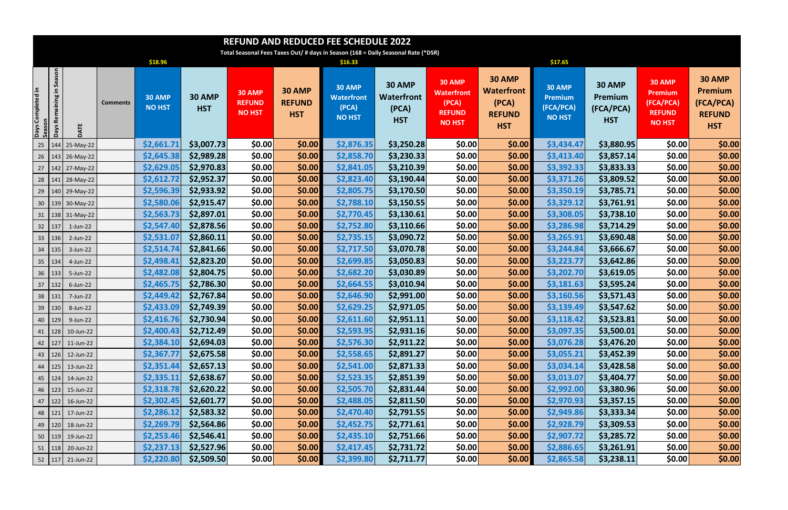| <b>REFUND AND REDUCED FEE SCHEDULE 2022</b> |                                                                                   |                        |                 |                                |                             |                                          |                                              |                                                              |                                                    |                                                                               |                                                                            |                                                               |                                                     |                                                                                |                                                                             |
|---------------------------------------------|-----------------------------------------------------------------------------------|------------------------|-----------------|--------------------------------|-----------------------------|------------------------------------------|----------------------------------------------|--------------------------------------------------------------|----------------------------------------------------|-------------------------------------------------------------------------------|----------------------------------------------------------------------------|---------------------------------------------------------------|-----------------------------------------------------|--------------------------------------------------------------------------------|-----------------------------------------------------------------------------|
|                                             | Total Seasonal Fees Taxes Out/ # days in Season (168 = Daily Seasonal Rate (*DSR) |                        |                 |                                |                             |                                          |                                              |                                                              |                                                    |                                                                               |                                                                            |                                                               |                                                     |                                                                                |                                                                             |
|                                             |                                                                                   |                        |                 | \$18.96                        |                             |                                          |                                              | \$16.33                                                      |                                                    |                                                                               |                                                                            | \$17.65                                                       |                                                     |                                                                                |                                                                             |
| Days Completed in<br>Season                 | Season<br>크.<br>Remaining<br><b>Days</b>                                          | DATE                   | <b>Comments</b> | <b>30 AMP</b><br><b>NO HST</b> | <b>30 AMP</b><br><b>HST</b> | 30 AMP<br><b>REFUND</b><br><b>NO HST</b> | <b>30 AMP</b><br><b>REFUND</b><br><b>HST</b> | <b>30 AMP</b><br><b>Waterfront</b><br>(PCA)<br><b>NO HST</b> | 30 AMP<br><b>Waterfront</b><br>(PCA)<br><b>HST</b> | <b>30 AMP</b><br><b>Waterfront</b><br>(PCA)<br><b>REFUND</b><br><b>NO HST</b> | <b>30 AMP</b><br><b>Waterfront</b><br>(PCA)<br><b>REFUND</b><br><b>HST</b> | <b>30 AMP</b><br><b>Premium</b><br>(FCA/PCA)<br><b>NO HST</b> | <b>30 AMP</b><br>Premium<br>(FCA/PCA)<br><b>HST</b> | <b>30 AMP</b><br><b>Premium</b><br>(FCA/PCA)<br><b>REFUND</b><br><b>NO HST</b> | <b>30 AMP</b><br><b>Premium</b><br>(FCA/PCA)<br><b>REFUND</b><br><b>HST</b> |
|                                             | $25 \mid 144$                                                                     | 25-May-22              |                 | \$2,661.71                     | \$3,007.73                  | \$0.00                                   | \$0.00                                       | \$2,876.35                                                   | \$3,250.28                                         | \$0.00                                                                        | \$0.00                                                                     | \$3,434.47                                                    | \$3,880.95                                          | \$0.00                                                                         | \$0.00                                                                      |
|                                             | $26 \mid 143$                                                                     | $26$ -May-22           |                 | \$2,645.38                     | \$2,989.28                  | \$0.00                                   | \$0.00                                       | \$2,858.70                                                   | \$3,230.33                                         | \$0.00                                                                        | \$0.00                                                                     | \$3,413.40                                                    | \$3,857.14                                          | \$0.00                                                                         | \$0.00                                                                      |
|                                             |                                                                                   | 27   142   27-May-22   |                 | \$2,629.05                     | \$2,970.83                  | \$0.00                                   | \$0.00                                       | \$2,841.05                                                   | \$3,210.39                                         | \$0.00                                                                        | \$0.00                                                                     | \$3,392.33                                                    | \$3,833.33                                          | \$0.00                                                                         | \$0.00                                                                      |
|                                             | 28 141                                                                            | 28-May-22              |                 | \$2,612.72                     | \$2,952.37                  | \$0.00                                   | \$0.00                                       | \$2,823.40                                                   | \$3,190.44                                         | \$0.00                                                                        | \$0.00                                                                     | \$3,371.26                                                    | \$3,809.52                                          | \$0.00                                                                         | \$0.00                                                                      |
|                                             |                                                                                   | 29   140   29-May-22   |                 | \$2,596.39                     | \$2,933.92                  | \$0.00                                   | \$0.00                                       | \$2,805.75                                                   | \$3,170.50                                         | \$0.00                                                                        | \$0.00]                                                                    | \$3,350.19                                                    | \$3,785.71                                          | \$0.00                                                                         | \$0.00                                                                      |
|                                             |                                                                                   | 30   139   30-May-22   |                 | \$2,580.06                     | \$2,915.47                  | \$0.00                                   | \$0.00                                       | \$2,788.10                                                   | \$3,150.55                                         | \$0.00                                                                        | \$0.00                                                                     | \$3,329.12                                                    | \$3,761.91                                          | \$0.00                                                                         | \$0.00                                                                      |
|                                             |                                                                                   | 31   138   31-May-22   |                 | \$2,563.73                     | \$2,897.01                  | \$0.00                                   | \$0.00                                       | \$2,770.45                                                   | \$3,130.61                                         | \$0.00                                                                        | \$0.00                                                                     | \$3,308.05                                                    | \$3,738.10                                          | \$0.00                                                                         | \$0.00                                                                      |
|                                             | 32   137                                                                          | $1$ -Jun-22            |                 | \$2,547.40                     | \$2,878.56                  | \$0.00                                   | \$0.00                                       | \$2,752.80                                                   | \$3,110.66                                         | \$0.00                                                                        | \$0.00                                                                     | \$3,286.98                                                    | \$3,714.29                                          | \$0.00                                                                         | \$0.00                                                                      |
|                                             | 33   136                                                                          | $2$ -Jun-22            |                 | \$2,531.07                     | \$2,860.11                  | \$0.00                                   | \$0.00                                       | \$2,735.15                                                   | \$3,090.72                                         | \$0.00                                                                        | \$0.00]                                                                    | \$3,265.91                                                    | \$3,690.48                                          | \$0.00                                                                         | \$0.00                                                                      |
|                                             | 34 135                                                                            | 3-Jun-22               |                 | \$2,514.74                     | \$2,841.66                  | \$0.00                                   | \$0.00                                       | \$2,717.50                                                   | \$3,070.78                                         | \$0.00                                                                        | \$0.00                                                                     | \$3,244.84                                                    | \$3,666.67                                          | \$0.00                                                                         | \$0.00                                                                      |
|                                             | 35   134                                                                          | 4-Jun-22               |                 | \$2,498.41                     | \$2,823.20                  | \$0.00                                   | \$0.00                                       | \$2,699.85                                                   | \$3,050.83                                         | \$0.00                                                                        | \$0.00]                                                                    | \$3,223.77                                                    | \$3,642.86                                          | \$0.00                                                                         | \$0.00                                                                      |
|                                             | 36 133                                                                            | 5-Jun-22               |                 | \$2,482.08                     | \$2,804.75                  | \$0.00                                   | \$0.00                                       | \$2,682.20                                                   | \$3,030.89                                         | \$0.00                                                                        | \$0.00                                                                     | \$3,202.70                                                    | \$3,619.05                                          | \$0.00                                                                         | \$0.00                                                                      |
|                                             | $37 \mid 132$                                                                     | 6-Jun-22               |                 | \$2,465.75                     | \$2,786.30                  | \$0.00                                   | \$0.00                                       | \$2,664.55                                                   | \$3,010.94                                         | \$0.00                                                                        | \$0.00]                                                                    | \$3,181.63                                                    | \$3,595.24                                          | \$0.00                                                                         | \$0.00                                                                      |
|                                             | 38 131                                                                            | 7-Jun-22               |                 | \$2,449.42                     | \$2,767.84                  | \$0.00                                   | \$0.00                                       | \$2,646.90                                                   | \$2,991.00                                         | \$0.00                                                                        | \$0.00                                                                     | \$3,160.56                                                    | \$3,571.43                                          | \$0.00                                                                         | \$0.00                                                                      |
|                                             | 39   130                                                                          | 8-Jun-22               |                 | \$2,433.09                     | \$2,749.39                  | \$0.00                                   | \$0.00                                       | \$2,629.25                                                   | \$2,971.05                                         | \$0.00                                                                        | \$0.00]                                                                    | \$3,139.49                                                    | \$3,547.62                                          | \$0.00                                                                         | \$0.00                                                                      |
|                                             | $40 \mid 129 \mid$                                                                | 9-Jun-22               |                 | \$2,416.76                     | \$2,730.94                  | \$0.00                                   | \$0.00                                       | \$2,611.60                                                   | \$2,951.11                                         | \$0.00                                                                        | \$0.00                                                                     | \$3,118.42                                                    | \$3,523.81                                          | \$0.00                                                                         | \$0.00                                                                      |
|                                             | 41   128                                                                          | 10-Jun-22              |                 | \$2,400.43                     | \$2,712.49                  | \$0.00                                   | \$0.00                                       | \$2,593.95                                                   | \$2,931.16                                         | \$0.00                                                                        | \$0.00                                                                     | \$3,097.35                                                    | \$3,500.01                                          | \$0.00                                                                         | \$0.00                                                                      |
|                                             |                                                                                   | 42 127 11-Jun-22       |                 | \$2,384.10                     | \$2,694.03                  | \$0.00                                   | \$0.00                                       | \$2,576.30                                                   | \$2,911.22                                         | \$0.00                                                                        | \$0.00                                                                     | \$3,076.28                                                    | \$3,476.20                                          | \$0.00                                                                         | \$0.00                                                                      |
|                                             |                                                                                   | 43 126 12-Jun-22       |                 | \$2,367.77                     | \$2,675.58                  | \$0.00                                   | \$0.00                                       | \$2,558.65                                                   | \$2,891.27                                         | \$0.00                                                                        | \$0.00                                                                     | \$3,055.21                                                    | \$3,452.39                                          | \$0.00                                                                         | \$0.00                                                                      |
|                                             |                                                                                   | 44   125   13-Jun-22   |                 | \$2,351.44                     | \$2,657.13                  | \$0.00                                   | \$0.00]                                      | \$2,541.00                                                   | \$2,871.33                                         | \$0.00                                                                        | \$0.00                                                                     | \$3,034.14                                                    | \$3,428.58                                          | \$0.00                                                                         | \$0.00                                                                      |
|                                             |                                                                                   | 45   124   14-Jun-22   |                 | \$2,335.11                     | \$2,638.67                  | \$0.00                                   | \$0.00                                       | \$2,523.35                                                   | \$2,851.39                                         | \$0.00                                                                        | \$0.00                                                                     | \$3,013.07                                                    | \$3,404.77                                          | \$0.00                                                                         | \$0.00                                                                      |
|                                             |                                                                                   | 46   123   15-Jun-22   |                 | \$2,318.78                     | \$2,620.22                  | \$0.00                                   | \$0.00                                       | \$2,505.70                                                   | \$2,831.44                                         | \$0.00                                                                        | \$0.00                                                                     | \$2,992.00                                                    | \$3,380.96                                          | \$0.00                                                                         | \$0.00                                                                      |
|                                             | $47$   122                                                                        | 16-Jun-22              |                 | \$2,302.45                     | \$2,601.77                  | \$0.00                                   | \$0.00]                                      | \$2,488.05                                                   | \$2,811.50                                         | \$0.00                                                                        | \$0.00]                                                                    | \$2,970.93                                                    | \$3,357.15                                          | \$0.00                                                                         | \$0.00                                                                      |
|                                             |                                                                                   | 48   121   17-Jun-22   |                 | \$2,286.12                     | \$2,583.32                  | \$0.00                                   | \$0.00                                       | \$2,470.40                                                   | \$2,791.55                                         | \$0.00                                                                        | \$0.00]                                                                    | \$2,949.86                                                    | \$3,333.34                                          | \$0.00                                                                         | \$0.00                                                                      |
|                                             |                                                                                   | 49   120   18-Jun-22   |                 | \$2,269.79                     | \$2,564.86                  | \$0.00                                   | \$0.00]                                      | \$2,452.75                                                   | \$2,771.61                                         | \$0.00                                                                        | \$0.00]                                                                    | \$2,928.79                                                    | \$3,309.53                                          | \$0.00                                                                         | \$0.00                                                                      |
|                                             |                                                                                   | 50 119 19-Jun-22       |                 | \$2,253.46                     | \$2,546.41                  | \$0.00                                   | \$0.00]                                      | \$2,435.10                                                   | \$2,751.66                                         | \$0.00                                                                        | \$0.00                                                                     | \$2,907.72                                                    | \$3,285.72                                          | \$0.00                                                                         | \$0.00                                                                      |
|                                             |                                                                                   | $51$   118   20-Jun-22 |                 | \$2,237.13                     | \$2,527.96                  | \$0.00                                   | \$0.00]                                      | \$2,417.45                                                   | \$2,731.72                                         | \$0.00                                                                        | \$0.00                                                                     | \$2,886.65                                                    | \$3,261.91                                          | \$0.00                                                                         | \$0.00                                                                      |
|                                             |                                                                                   | $52$   117   21-Jun-22 |                 | \$2,220.80                     | \$2,509.50                  | \$0.00                                   | \$0.00                                       | \$2,399.80                                                   | \$2,711.77                                         | \$0.00                                                                        | \$0.00]                                                                    | \$2,865.58                                                    | \$3,238.11                                          | \$0.00                                                                         | \$0.00                                                                      |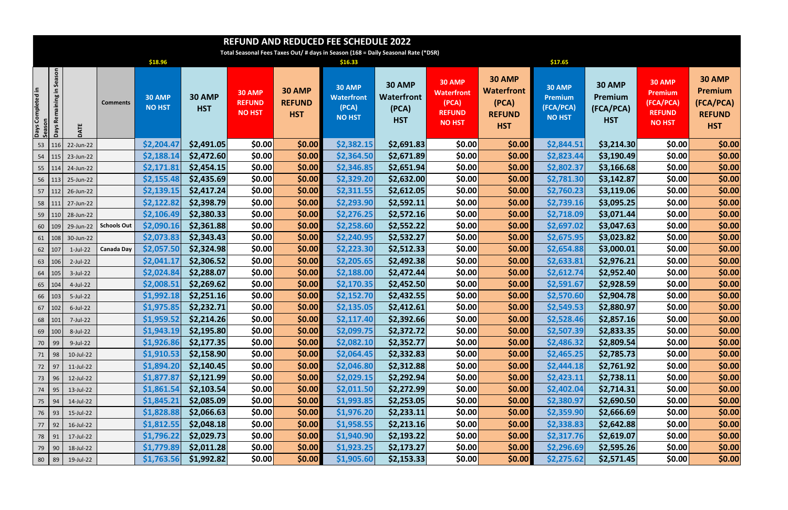| <b>REFUND AND REDUCED FEE SCHEDULE 2022</b> |                                                                                   |             |                    |                                |                             |                                          |                                              |                                                              |                                                    |                                                                               |                                                                            |                                                               |                                                     |                                                                                |                                                                             |
|---------------------------------------------|-----------------------------------------------------------------------------------|-------------|--------------------|--------------------------------|-----------------------------|------------------------------------------|----------------------------------------------|--------------------------------------------------------------|----------------------------------------------------|-------------------------------------------------------------------------------|----------------------------------------------------------------------------|---------------------------------------------------------------|-----------------------------------------------------|--------------------------------------------------------------------------------|-----------------------------------------------------------------------------|
|                                             | Total Seasonal Fees Taxes Out/ # days in Season (168 = Daily Seasonal Rate (*DSR) |             |                    |                                |                             |                                          |                                              |                                                              |                                                    |                                                                               |                                                                            |                                                               |                                                     |                                                                                |                                                                             |
|                                             |                                                                                   |             |                    | \$18.96                        |                             |                                          |                                              | \$16.33                                                      |                                                    |                                                                               |                                                                            | \$17.65                                                       |                                                     |                                                                                |                                                                             |
| Days Completed in<br>Season                 | Season<br>크.<br>Remaining<br><b>Days</b>                                          | DATE        | <b>Comments</b>    | <b>30 AMP</b><br><b>NO HST</b> | <b>30 AMP</b><br><b>HST</b> | 30 AMP<br><b>REFUND</b><br><b>NO HST</b> | <b>30 AMP</b><br><b>REFUND</b><br><b>HST</b> | <b>30 AMP</b><br><b>Waterfront</b><br>(PCA)<br><b>NO HST</b> | 30 AMP<br><b>Waterfront</b><br>(PCA)<br><b>HST</b> | <b>30 AMP</b><br><b>Waterfront</b><br>(PCA)<br><b>REFUND</b><br><b>NO HST</b> | <b>30 AMP</b><br><b>Waterfront</b><br>(PCA)<br><b>REFUND</b><br><b>HST</b> | <b>30 AMP</b><br><b>Premium</b><br>(FCA/PCA)<br><b>NO HST</b> | <b>30 AMP</b><br>Premium<br>(FCA/PCA)<br><b>HST</b> | <b>30 AMP</b><br><b>Premium</b><br>(FCA/PCA)<br><b>REFUND</b><br><b>NO HST</b> | <b>30 AMP</b><br><b>Premium</b><br>(FCA/PCA)<br><b>REFUND</b><br><b>HST</b> |
|                                             | 53   116                                                                          | 22-Jun-22   |                    | \$2,204.47                     | \$2,491.05                  | \$0.00                                   | \$0.00                                       | \$2,382.15                                                   | \$2,691.83                                         | \$0.00                                                                        | \$0.00                                                                     | \$2,844.51                                                    | \$3,214.30                                          | \$0.00                                                                         | \$0.00                                                                      |
|                                             | $54$   115                                                                        | 23-Jun-22   |                    | \$2,188.14                     | \$2,472.60                  | \$0.00                                   | \$0.00                                       | \$2,364.50                                                   | \$2,671.89                                         | \$0.00                                                                        | \$0.00                                                                     | \$2,823.44                                                    | \$3,190.49                                          | \$0.00                                                                         | \$0.00                                                                      |
|                                             | $55$   114                                                                        | 24-Jun-22   |                    | \$2,171.81                     | \$2,454.15                  | \$0.00                                   | \$0.00                                       | \$2,346.85                                                   | \$2,651.94                                         | \$0.00                                                                        | \$0.00                                                                     | \$2,802.37                                                    | \$3,166.68                                          | \$0.00                                                                         | \$0.00                                                                      |
|                                             | $56$   113                                                                        | 25-Jun-22   |                    | \$2,155.48                     | \$2,435.69                  | \$0.00                                   | \$0.00                                       | \$2,329.20                                                   | \$2,632.00                                         | \$0.00                                                                        | \$0.00                                                                     | \$2,781.30                                                    | \$3,142.87                                          | \$0.00                                                                         | \$0.00                                                                      |
|                                             | $57$   112                                                                        | 26-Jun-22   |                    | \$2,139.15                     | \$2,417.24                  | \$0.00                                   | \$0.00                                       | \$2,311.55                                                   | \$2,612.05                                         | \$0.00                                                                        | \$0.00]                                                                    | \$2,760.23                                                    | \$3,119.06                                          | \$0.00                                                                         | \$0.00                                                                      |
|                                             | 58 111                                                                            | 27-Jun-22   |                    | \$2,122.82                     | \$2,398.79                  | \$0.00                                   | \$0.00                                       | \$2,293.90                                                   | \$2,592.11                                         | \$0.00                                                                        | \$0.00                                                                     | \$2,739.16                                                    | \$3,095.25                                          | \$0.00                                                                         | \$0.00                                                                      |
|                                             | 59 110                                                                            | 28-Jun-22   |                    | \$2,106.49                     | \$2,380.33                  | \$0.00                                   | \$0.00                                       | \$2,276.25                                                   | \$2,572.16                                         | \$0.00                                                                        | \$0.00                                                                     | \$2,718.09                                                    | \$3,071.44                                          | \$0.00                                                                         | \$0.00                                                                      |
| 60                                          | 109                                                                               | 29-Jun-22   | <b>Schools Out</b> | \$2,090.16                     | \$2,361.88                  | \$0.00                                   | \$0.00                                       | \$2,258.60                                                   | \$2,552.22                                         | \$0.00                                                                        | \$0.00                                                                     | \$2,697.02                                                    | \$3,047.63                                          | \$0.00                                                                         | \$0.00                                                                      |
| 61                                          | 108                                                                               | 30-Jun-22   |                    | \$2,073.83                     | \$2,343.43                  | \$0.00                                   | \$0.00                                       | \$2,240.95                                                   | \$2,532.27                                         | \$0.00                                                                        | \$0.00                                                                     | \$2,675.95                                                    | \$3,023.82                                          | \$0.00                                                                         | \$0.00                                                                      |
| 62   107                                    |                                                                                   | $1$ -Jul-22 | <b>Canada Day</b>  | \$2,057.50                     | \$2,324.98                  | \$0.00                                   | \$0.00                                       | \$2,223.30                                                   | \$2,512.33                                         | \$0.00                                                                        | \$0.00                                                                     | \$2,654.88                                                    | \$3,000.01                                          | \$0.00                                                                         | \$0.00                                                                      |
|                                             | 63   106                                                                          | $2$ -Jul-22 |                    | \$2,041.17                     | \$2,306.52                  | \$0.00                                   | \$0.00                                       | \$2,205.65                                                   | \$2,492.38                                         | \$0.00                                                                        | \$0.00]                                                                    | \$2,633.81                                                    | \$2,976.21                                          | \$0.00                                                                         | \$0.00                                                                      |
|                                             | $64$   105                                                                        | 3-Jul-22    |                    | \$2,024.84                     | \$2,288.07                  | \$0.00                                   | \$0.00                                       | \$2,188.00                                                   | \$2,472.44]                                        | \$0.00                                                                        | \$0.00]                                                                    | \$2,612.74                                                    | \$2,952.40                                          | \$0.00                                                                         | \$0.00                                                                      |
|                                             | 65   104                                                                          | 4-Jul-22    |                    | \$2,008.51                     | \$2,269.62                  | \$0.00                                   | \$0.00                                       | \$2,170.35                                                   | \$2,452.50                                         | \$0.00                                                                        | \$0.00]                                                                    | \$2,591.67                                                    | \$2,928.59                                          | \$0.00                                                                         | \$0.00                                                                      |
|                                             | $66$   103                                                                        | 5-Jul-22    |                    | \$1,992.18                     | \$2,251.16                  | \$0.00                                   | \$0.00                                       | \$2,152.70                                                   | \$2,432.55                                         | \$0.00                                                                        | \$0.00                                                                     | \$2,570.60                                                    | \$2,904.78                                          | \$0.00                                                                         | \$0.00                                                                      |
|                                             | 67   102                                                                          | $6$ -Jul-22 |                    | \$1,975.85                     | \$2,232.71                  | \$0.00                                   | \$0.00                                       | \$2,135.05                                                   | \$2,412.61                                         | \$0.00                                                                        | \$0.00]                                                                    | \$2,549.53                                                    | \$2,880.97                                          | \$0.00                                                                         | \$0.00                                                                      |
|                                             | 68 101                                                                            | 7-Jul-22    |                    | \$1,959.52                     | \$2,214.26                  | \$0.00                                   | \$0.00                                       | \$2,117.40                                                   | \$2,392.66                                         | \$0.00                                                                        | \$0.00                                                                     | \$2,528.46                                                    | \$2,857.16                                          | \$0.00                                                                         | \$0.00                                                                      |
|                                             | $69$   100                                                                        | 8-Jul-22    |                    | \$1,943.19                     | \$2,195.80                  | \$0.00                                   | \$0.00                                       | \$2,099.75                                                   | \$2,372.72                                         | \$0.00                                                                        | \$0.00                                                                     | \$2,507.39                                                    | \$2,833.35                                          | \$0.00                                                                         | \$0.00                                                                      |
| 70 99                                       |                                                                                   | 9-Jul-22    |                    | \$1,926.86                     | \$2,177.35                  | \$0.00                                   | \$0.00                                       | \$2,082.10                                                   | \$2,352.77                                         | \$0.00                                                                        | \$0.00                                                                     | \$2,486.32                                                    | \$2,809.54                                          | \$0.00                                                                         | \$0.00                                                                      |
|                                             | $71$ 98                                                                           | 10-Jul-22   |                    | \$1,910.53                     | \$2,158.90                  | \$0.00                                   | \$0.00                                       | \$2,064.45                                                   | \$2,332.83                                         | \$0.00                                                                        | \$0.00                                                                     | \$2,465.25                                                    | \$2,785.73                                          | \$0.00                                                                         | \$0.00                                                                      |
|                                             | 72 97                                                                             | 11-Jul-22   |                    | \$1,894.20                     | \$2,140.45                  | \$0.00                                   | \$0.00]                                      | \$2,046.80                                                   | \$2,312.88                                         | \$0.00                                                                        | \$0.00                                                                     | \$2,444.18                                                    | \$2,761.92                                          | \$0.00                                                                         | \$0.00                                                                      |
|                                             | 73 96                                                                             | 12-Jul-22   |                    | \$1,877.87                     | \$2,121.99                  | \$0.00                                   | \$0.00                                       | \$2,029.15                                                   | \$2,292.94                                         | \$0.00                                                                        | \$0.00]                                                                    | \$2,423.11                                                    | \$2,738.11                                          | \$0.00                                                                         | \$0.00                                                                      |
|                                             | 74   95                                                                           | 13-Jul-22   |                    | \$1,861.54                     | \$2,103.54                  | \$0.00                                   | \$0.00                                       | \$2,011.50                                                   | \$2,272.99                                         | \$0.00                                                                        | \$0.00                                                                     | \$2,402.04                                                    | \$2,714.31                                          | \$0.00                                                                         | \$0.00                                                                      |
|                                             | 75 94                                                                             | 14-Jul-22   |                    | \$1,845.21                     | \$2,085.09                  | \$0.00                                   | \$0.00]                                      | \$1,993.85                                                   | \$2,253.05                                         | \$0.00                                                                        | \$0.00]                                                                    | \$2,380.97                                                    | \$2,690.50                                          | \$0.00                                                                         | \$0.00                                                                      |
|                                             | 76 93                                                                             | 15-Jul-22   |                    | \$1,828.88                     | \$2,066.63                  | \$0.00                                   | \$0.00                                       | \$1,976.20                                                   | \$2,233.11                                         | \$0.00                                                                        | \$0.00]                                                                    | \$2,359.90                                                    | \$2,666.69                                          | \$0.00                                                                         | \$0.00                                                                      |
|                                             | $77$ 92                                                                           | 16-Jul-22   |                    | \$1,812.55                     | \$2,048.18                  | \$0.00                                   | \$0.00]                                      | \$1,958.55                                                   | \$2,213.16                                         | \$0.00                                                                        | \$0.00]                                                                    | \$2,338.83                                                    | \$2,642.88                                          | \$0.00                                                                         | \$0.00                                                                      |
|                                             | 78 91                                                                             | 17-Jul-22   |                    | \$1,796.22                     | \$2,029.73                  | \$0.00                                   | \$0.00]                                      | \$1,940.90                                                   | \$2,193.22                                         | \$0.00                                                                        | \$0.00                                                                     | \$2,317.76                                                    | \$2,619.07                                          | \$0.00                                                                         | \$0.00                                                                      |
| 79 90                                       |                                                                                   | 18-Jul-22   |                    | \$1,779.89                     | \$2,011.28                  | \$0.00                                   | \$0.00]                                      | \$1,923.25                                                   | \$2,173.27                                         | \$0.00                                                                        | \$0.00]                                                                    | \$2,296.69                                                    | \$2,595.26                                          | \$0.00                                                                         | \$0.00                                                                      |
|                                             | $80$ 89                                                                           | 19-Jul-22   |                    | \$1,763.56                     | \$1,992.82                  | \$0.00                                   | \$0.00                                       | \$1,905.60                                                   | \$2,153.33                                         | \$0.00                                                                        | \$0.00]                                                                    | \$2,275.62                                                    | \$2,571.45                                          | \$0.00                                                                         | \$0.00                                                                      |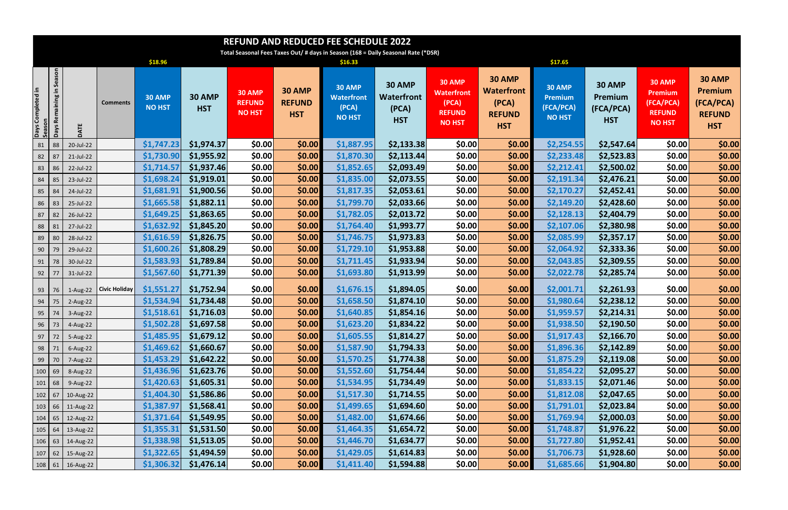|                    | <b>REFUND AND REDUCED FEE SCHEDULE 2022</b>                                       |            |                      |                                |                             |                                                 |                                              |                                                              |                                                    |                                                                               |                                                                            |                                                               |                                                     |                                                                                |                                                                             |
|--------------------|-----------------------------------------------------------------------------------|------------|----------------------|--------------------------------|-----------------------------|-------------------------------------------------|----------------------------------------------|--------------------------------------------------------------|----------------------------------------------------|-------------------------------------------------------------------------------|----------------------------------------------------------------------------|---------------------------------------------------------------|-----------------------------------------------------|--------------------------------------------------------------------------------|-----------------------------------------------------------------------------|
|                    | Total Seasonal Fees Taxes Out/ # days in Season (168 = Daily Seasonal Rate (*DSR) |            |                      |                                |                             |                                                 |                                              |                                                              |                                                    |                                                                               |                                                                            |                                                               |                                                     |                                                                                |                                                                             |
|                    |                                                                                   |            |                      | \$18.96                        |                             |                                                 |                                              | \$16.33                                                      |                                                    |                                                                               |                                                                            | \$17.65                                                       |                                                     |                                                                                |                                                                             |
| Days Completed in  | Season<br>크.<br>Rei<br><b>Days</b>                                                | DATE       | <b>Comments</b>      | <b>30 AMP</b><br><b>NO HST</b> | <b>30 AMP</b><br><b>HST</b> | <b>30 AMP</b><br><b>REFUND</b><br><b>NO HST</b> | <b>30 AMP</b><br><b>REFUND</b><br><b>HST</b> | <b>30 AMP</b><br><b>Waterfront</b><br>(PCA)<br><b>NO HST</b> | <b>30 AMP</b><br>Waterfront<br>(PCA)<br><b>HST</b> | <b>30 AMP</b><br><b>Waterfront</b><br>(PCA)<br><b>REFUND</b><br><b>NO HST</b> | <b>30 AMP</b><br><b>Waterfront</b><br>(PCA)<br><b>REFUND</b><br><b>HST</b> | <b>30 AMP</b><br><b>Premium</b><br>(FCA/PCA)<br><b>NO HST</b> | <b>30 AMP</b><br>Premium<br>(FCA/PCA)<br><b>HST</b> | <b>30 AMP</b><br><b>Premium</b><br>(FCA/PCA)<br><b>REFUND</b><br><b>NO HST</b> | <b>30 AMP</b><br><b>Premium</b><br>(FCA/PCA)<br><b>REFUND</b><br><b>HST</b> |
| 81                 | 88                                                                                | 20-Jul-22  |                      | \$1,747.23                     | \$1,974.37                  | \$0.00                                          | \$0.00                                       | \$1,887.95                                                   | \$2,133.38                                         | \$0.00                                                                        | \$0.00                                                                     | \$2,254.55                                                    | \$2,547.64                                          | \$0.00                                                                         | \$0.00                                                                      |
| 82                 | 87                                                                                | 21-Jul-22  |                      | \$1,730.90                     | \$1,955.92                  | \$0.00                                          | \$0.00                                       | \$1,870.30                                                   | \$2,113.44                                         | \$0.00                                                                        | \$0.00                                                                     | \$2,233.48                                                    | \$2,523.83                                          | \$0.00                                                                         | \$0.00                                                                      |
| 83                 | 86                                                                                | 22-Jul-22  |                      | \$1,714.57                     | \$1,937.46                  | \$0.00                                          | \$0.00                                       | \$1,852.65                                                   | \$2,093.49                                         | \$0.00                                                                        | \$0.00                                                                     | \$2,212.41                                                    | \$2,500.02                                          | \$0.00                                                                         | \$0.00                                                                      |
| 84                 | 85                                                                                | 23-Jul-22  |                      | \$1,698.24                     | \$1,919.01                  | \$0.00                                          | \$0.00                                       | \$1,835.00                                                   | \$2,073.55                                         | \$0.00                                                                        | \$0.00                                                                     | \$2,191.34                                                    | \$2,476.21                                          | \$0.00                                                                         | \$0.00                                                                      |
| 85                 | 84                                                                                | 24-Jul-22  |                      | \$1,681.91                     | \$1,900.56                  | \$0.00                                          | \$0.00                                       | \$1,817.35                                                   | \$2,053.61                                         | \$0.00                                                                        | \$0.00                                                                     | \$2,170.27                                                    | \$2,452.41                                          | \$0.00                                                                         | \$0.00                                                                      |
| 86                 | 83                                                                                | 25-Jul-22  |                      | \$1,665.58                     | \$1,882.11                  | \$0.00                                          | \$0.00                                       | \$1,799.70                                                   | \$2,033.66                                         | \$0.00                                                                        | \$0.00                                                                     | \$2,149.20                                                    | \$2,428.60                                          | \$0.00                                                                         | \$0.00                                                                      |
| 87                 | 82                                                                                | 26-Jul-22  |                      | \$1,649.25                     | \$1,863.65                  | \$0.00                                          | \$0.00                                       | \$1,782.05                                                   | \$2,013.72                                         | \$0.00                                                                        | \$0.00                                                                     | \$2,128.13                                                    | \$2,404.79                                          | \$0.00                                                                         | \$0.00                                                                      |
| 88                 | 81                                                                                | 27-Jul-22  |                      | \$1,632.92                     | \$1,845.20                  | \$0.00                                          | \$0.00                                       | \$1,764.40                                                   | \$1,993.77                                         | \$0.00                                                                        | \$0.00                                                                     | \$2,107.06                                                    | \$2,380.98                                          | \$0.00                                                                         | \$0.00                                                                      |
| 89                 | - 80                                                                              | 28-Jul-22  |                      | \$1,616.59                     | \$1,826.75                  | \$0.00                                          | \$0.00                                       | \$1,746.75                                                   | \$1,973.83                                         | \$0.00                                                                        | \$0.00                                                                     | \$2,085.99                                                    | \$2,357.17                                          | \$0.00                                                                         | \$0.00                                                                      |
| 90                 | 79                                                                                | 29-Jul-22  |                      | \$1,600.26                     | \$1,808.29                  | \$0.00                                          | \$0.00                                       | \$1,729.10                                                   | \$1,953.88                                         | \$0.00                                                                        | \$0.00                                                                     | \$2,064.92                                                    | \$2,333.36                                          | \$0.00                                                                         | \$0.00                                                                      |
| 91                 | 78                                                                                | 30-Jul-22  |                      | \$1,583.93                     | \$1,789.84                  | \$0.00                                          | \$0.00                                       | \$1,711.45                                                   | \$1,933.94                                         | \$0.00                                                                        | \$0.00                                                                     | \$2,043.85                                                    | \$2,309.55                                          | \$0.00                                                                         | \$0.00                                                                      |
| 92                 | 77                                                                                | 31-Jul-22  |                      | \$1,567.60                     | \$1,771.39                  | \$0.00                                          | \$0.00                                       | \$1,693.80                                                   | \$1,913.99                                         | \$0.00                                                                        | \$0.00                                                                     | \$2,022.78                                                    | \$2,285.74                                          | \$0.00                                                                         | \$0.00                                                                      |
| 93                 | 76                                                                                | $1-Aug-22$ | <b>Civic Holiday</b> | \$1,551.27                     | \$1,752.94                  | \$0.00                                          | \$0.00                                       | \$1,676.15                                                   | \$1,894.05                                         | \$0.00                                                                        | \$0.00                                                                     | \$2,001.71                                                    | \$2,261.93                                          | \$0.00                                                                         | \$0.00                                                                      |
| 94                 | 75                                                                                | $2-Aug-22$ |                      | \$1,534.94                     | \$1,734.48                  | \$0.00                                          | \$0.00                                       | \$1,658.50                                                   | \$1,874.10                                         | \$0.00                                                                        | \$0.00                                                                     | \$1,980.64                                                    | \$2,238.12                                          | \$0.00                                                                         | \$0.00                                                                      |
| 95                 | - 74                                                                              | 3-Aug-22   |                      | \$1,518.61                     | \$1,716.03                  | \$0.00                                          | \$0.00                                       | \$1,640.85                                                   | \$1,854.16                                         | \$0.00                                                                        | \$0.00]                                                                    | \$1,959.57                                                    | \$2,214.31                                          | \$0.00                                                                         | \$0.00                                                                      |
|                    | $96$   73                                                                         | 4-Aug-22   |                      | \$1,502.28                     | \$1,697.58                  | \$0.00                                          | \$0.00                                       | \$1,623.20                                                   | \$1,834.22                                         | \$0.00                                                                        | \$0.00                                                                     | \$1,938.50                                                    | \$2,190.50                                          | \$0.00                                                                         | \$0.00                                                                      |
|                    | $97$ 72                                                                           | 5-Aug-22   |                      | \$1,485.95                     | \$1,679.12                  | \$0.00                                          | \$0.00                                       | \$1,605.55                                                   | \$1,814.27                                         | \$0.00                                                                        | \$0.00                                                                     | \$1,917.43                                                    | \$2,166.70                                          | \$0.00                                                                         | \$0.00                                                                      |
|                    | $98$   71                                                                         | 6-Aug-22   |                      | \$1,469.62                     | \$1,660.67                  | \$0.00                                          | \$0.00                                       | \$1,587.90                                                   | \$1,794.33                                         | \$0.00                                                                        | \$0.00                                                                     | \$1,896.36                                                    | \$2,142.89                                          | \$0.00                                                                         | \$0.00                                                                      |
|                    | 99   70                                                                           | 7-Aug-22   |                      | \$1,453.29                     | \$1,642.22                  | \$0.00                                          | \$0.00                                       | \$1,570.25                                                   | \$1,774.38                                         | \$0.00                                                                        | \$0.00                                                                     | \$1,875.29                                                    | \$2,119.08                                          | \$0.00                                                                         | \$0.00                                                                      |
| $100$ 69           |                                                                                   | 8-Aug-22   |                      | \$1,436.96                     | \$1,623.76                  | \$0.00                                          | \$0.00                                       | \$1,552.60                                                   | \$1,754.44                                         | \$0.00                                                                        | \$0.00                                                                     | \$1,854.22                                                    | \$2,095.27                                          | \$0.00                                                                         | \$0.00                                                                      |
| $101$ 68           |                                                                                   | 9-Aug-22   |                      | \$1,420.63                     | \$1,605.31                  | \$0.00                                          | \$0.00                                       | \$1,534.95                                                   | \$1,734.49                                         | \$0.00                                                                        | \$0.00                                                                     | \$1,833.15                                                    | \$2,071.46                                          | \$0.00                                                                         | \$0.00                                                                      |
| $102$ 67           |                                                                                   | 10-Aug-22  |                      | \$1,404.30                     | \$1,586.86                  | \$0.00                                          | \$0.00                                       | \$1,517.30                                                   | \$1,714.55                                         | \$0.00                                                                        | \$0.00                                                                     | \$1,812.08                                                    | \$2,047.65                                          | \$0.00                                                                         | \$0.00                                                                      |
| $103 \mid 66 \mid$ |                                                                                   | 11-Aug-22  |                      | \$1,387.97                     | \$1,568.41                  | \$0.00                                          | \$0.00                                       | \$1,499.65                                                   | \$1,694.60                                         | \$0.00                                                                        | \$0.00                                                                     | \$1,791.01                                                    | \$2,023.84                                          | \$0.00                                                                         | \$0.00                                                                      |
| $104 \mid 65 \mid$ |                                                                                   | 12-Aug-22  |                      | \$1,371.64                     | \$1,549.95                  | \$0.00                                          | \$0.00                                       | \$1,482.00                                                   | \$1,674.66                                         | \$0.00                                                                        | \$0.00                                                                     | \$1,769.94                                                    | \$2,000.03                                          | \$0.00                                                                         | \$0.00                                                                      |
| $105 \mid 64 \mid$ |                                                                                   | 13-Aug-22  |                      | \$1,355.31                     | \$1,531.50                  | \$0.00                                          | \$0.00                                       | \$1,464.35                                                   | \$1,654.72                                         | \$0.00                                                                        | \$0.00                                                                     | \$1,748.87                                                    | \$1,976.22                                          | \$0.00                                                                         | \$0.00                                                                      |
| $106$ 63           |                                                                                   | 14-Aug-22  |                      | \$1,338.98                     | \$1,513.05                  | \$0.00                                          | \$0.00                                       | \$1,446.70                                                   | \$1,634.77                                         | \$0.00                                                                        | \$0.00                                                                     | \$1,727.80                                                    | \$1,952.41                                          | \$0.00                                                                         | \$0.00                                                                      |
| $107$ 62           |                                                                                   | 15-Aug-22  |                      | \$1,322.65                     | \$1,494.59                  | \$0.00                                          | \$0.00                                       | \$1,429.05                                                   | \$1,614.83                                         | \$0.00                                                                        | \$0.00                                                                     | \$1,706.73                                                    | \$1,928.60                                          | \$0.00                                                                         | \$0.00                                                                      |
|                    | $108$ 61                                                                          | 16-Aug-22  |                      | \$1,306.32                     | \$1,476.14                  | \$0.00                                          | \$0.00                                       | \$1,411.40                                                   | \$1,594.88                                         | \$0.00                                                                        | \$0.00                                                                     | \$1,685.66                                                    | \$1,904.80                                          | \$0.00                                                                         | \$0.00                                                                      |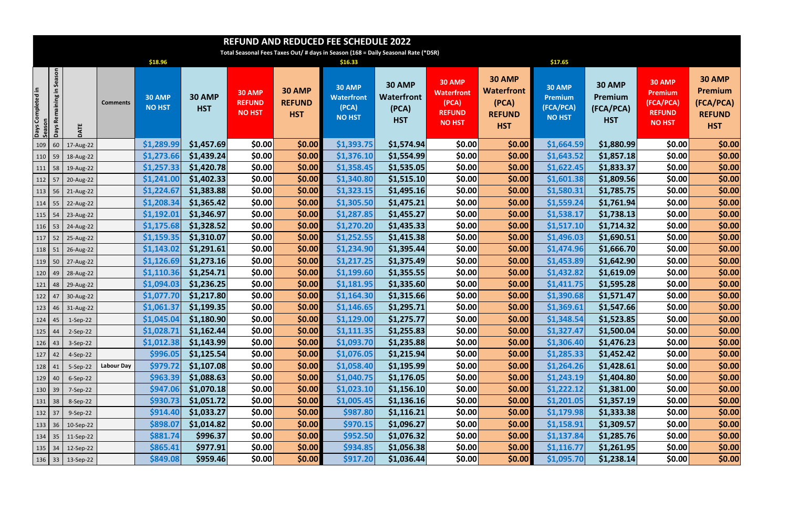| <b>REFUND AND REDUCED FEE SCHEDULE 2022</b> |                                                                                   |                       |                   |                                |                             |                                          |                                              |                                                              |                                                    |                                                                               |                                                                            |                                                               |                                                     |                                                                                |                                                                             |
|---------------------------------------------|-----------------------------------------------------------------------------------|-----------------------|-------------------|--------------------------------|-----------------------------|------------------------------------------|----------------------------------------------|--------------------------------------------------------------|----------------------------------------------------|-------------------------------------------------------------------------------|----------------------------------------------------------------------------|---------------------------------------------------------------|-----------------------------------------------------|--------------------------------------------------------------------------------|-----------------------------------------------------------------------------|
|                                             | Total Seasonal Fees Taxes Out/ # days in Season (168 = Daily Seasonal Rate (*DSR) |                       |                   |                                |                             |                                          |                                              |                                                              |                                                    |                                                                               |                                                                            |                                                               |                                                     |                                                                                |                                                                             |
|                                             |                                                                                   |                       |                   | \$18.96                        |                             |                                          |                                              | \$16.33                                                      |                                                    |                                                                               |                                                                            | \$17.65                                                       |                                                     |                                                                                |                                                                             |
| Days Completed in<br>Season                 | Season<br>크.<br>Days Remaining                                                    | DATE                  | <b>Comments</b>   | <b>30 AMP</b><br><b>NO HST</b> | <b>30 AMP</b><br><b>HST</b> | 30 AMP<br><b>REFUND</b><br><b>NO HST</b> | <b>30 AMP</b><br><b>REFUND</b><br><b>HST</b> | <b>30 AMP</b><br><b>Waterfront</b><br>(PCA)<br><b>NO HST</b> | <b>30 AMP</b><br>Waterfront<br>(PCA)<br><b>HST</b> | <b>30 AMP</b><br><b>Waterfront</b><br>(PCA)<br><b>REFUND</b><br><b>NO HST</b> | <b>30 AMP</b><br><b>Waterfront</b><br>(PCA)<br><b>REFUND</b><br><b>HST</b> | <b>30 AMP</b><br><b>Premium</b><br>(FCA/PCA)<br><b>NO HST</b> | <b>30 AMP</b><br>Premium<br>(FCA/PCA)<br><b>HST</b> | <b>30 AMP</b><br><b>Premium</b><br>(FCA/PCA)<br><b>REFUND</b><br><b>NO HST</b> | <b>30 AMP</b><br><b>Premium</b><br>(FCA/PCA)<br><b>REFUND</b><br><b>HST</b> |
| 109   60                                    |                                                                                   | 17-Aug-22             |                   | \$1,289.99                     | \$1,457.69                  | \$0.00                                   | \$0.00                                       | \$1,393.75                                                   | \$1,574.94                                         | \$0.00                                                                        | \$0.00                                                                     | \$1,664.59                                                    | \$1,880.99                                          | \$0.00                                                                         | \$0.00                                                                      |
| $110$ 59                                    |                                                                                   | 18-Aug-22             |                   | \$1,273.66                     | \$1,439.24                  | \$0.00                                   | \$0.00                                       | \$1,376.10                                                   | \$1,554.99                                         | \$0.00                                                                        | \$0.00                                                                     | \$1,643.52                                                    | \$1,857.18                                          | \$0.00                                                                         | \$0.00                                                                      |
| $111$ 58                                    |                                                                                   | 19-Aug-22             |                   | \$1,257.33                     | \$1,420.78                  | \$0.00                                   | \$0.00                                       | \$1,358.45                                                   | \$1,535.05                                         | \$0.00                                                                        | \$0.00                                                                     | \$1,622.45                                                    | \$1,833.37                                          | \$0.00                                                                         | \$0.00                                                                      |
| $112$ 57                                    |                                                                                   | 20-Aug-22             |                   | \$1,241.00                     | \$1,402.33                  | \$0.00                                   | \$0.00                                       | \$1,340.80                                                   | \$1,515.10                                         | \$0.00                                                                        | \$0.00                                                                     | \$1,601.38                                                    | \$1,809.56                                          | \$0.00                                                                         | \$0.00                                                                      |
| $113 \mid 56$                               |                                                                                   | 21-Aug-22             |                   | \$1,224.67                     | \$1,383.88                  | \$0.00                                   | \$0.00                                       | \$1,323.15                                                   | \$1,495.16                                         | \$0.00                                                                        | \$0.00                                                                     | \$1,580.31                                                    | \$1,785.75                                          | \$0.00                                                                         | \$0.00                                                                      |
| $114$ 55                                    |                                                                                   | 22-Aug-22             |                   | \$1,208.34                     | \$1,365.42                  | \$0.00                                   | \$0.00                                       | \$1,305.50                                                   | \$1,475.21                                         | \$0.00                                                                        | \$0.00                                                                     | \$1,559.24                                                    | \$1,761.94                                          | \$0.00                                                                         | \$0.00                                                                      |
| $115$ 54                                    |                                                                                   | 23-Aug-22             |                   | \$1,192.01                     | \$1,346.97                  | \$0.00                                   | \$0.00                                       | \$1,287.85                                                   | \$1,455.27                                         | \$0.00                                                                        | \$0.00                                                                     | \$1,538.17                                                    | \$1,738.13                                          | \$0.00                                                                         | \$0.00                                                                      |
| $116$ 53                                    |                                                                                   | 24-Aug-22             |                   | \$1,175.68                     | \$1,328.52                  | \$0.00                                   | \$0.00                                       | \$1,270.20                                                   | \$1,435.33                                         | \$0.00                                                                        | \$0.00                                                                     | \$1,517.10                                                    | \$1,714.32                                          | \$0.00                                                                         | \$0.00                                                                      |
| $117$ 52                                    |                                                                                   | 25-Aug-22             |                   | \$1,159.35                     | \$1,310.07                  | <b>\$0.00</b>                            | \$0.00                                       | \$1,252.55                                                   | \$1,415.38                                         | \$0.00                                                                        | \$0.00                                                                     | \$1,496.03                                                    | \$1,690.51                                          | \$0.00                                                                         | \$0.00                                                                      |
| 118 51                                      |                                                                                   | 26-Aug-22             |                   | \$1,143.02                     | \$1,291.61                  | \$0.00                                   | \$0.00                                       | \$1,234.90                                                   | \$1,395.44                                         | \$0.00                                                                        | \$0.00                                                                     | \$1,474.96                                                    | \$1,666.70                                          | \$0.00                                                                         | \$0.00                                                                      |
| $119$ 50                                    |                                                                                   | 27-Aug-22             |                   | \$1,126.69                     | \$1,273.16                  | \$0.00                                   | \$0.00                                       | \$1,217.25                                                   | \$1,375.49                                         | \$0.00                                                                        | \$0.00                                                                     | \$1,453.89                                                    | \$1,642.90                                          | \$0.00                                                                         | \$0.00                                                                      |
|                                             | $120$ 49                                                                          | 28-Aug-22             |                   | \$1,110.36                     | \$1,254.71                  | \$0.00                                   | \$0.00                                       | \$1,199.60                                                   | \$1,355.55                                         | \$0.00                                                                        | \$0.00                                                                     | \$1,432.82                                                    | \$1,619.09                                          | \$0.00                                                                         | \$0.00                                                                      |
| $121$ 48                                    |                                                                                   | 29-Aug-22             |                   | \$1,094.03                     | \$1,236.25                  | \$0.00                                   | \$0.00                                       | \$1,181.95                                                   | \$1,335.60                                         | \$0.00                                                                        | \$0.00                                                                     | \$1,411.75                                                    | \$1,595.28                                          | \$0.00                                                                         | \$0.00                                                                      |
| $122$ 47                                    |                                                                                   | 30-Aug-22             |                   | \$1,077.70                     | \$1,217.80                  | \$0.00                                   | \$0.00                                       | \$1,164.30                                                   | \$1,315.66                                         | \$0.00                                                                        | \$0.00                                                                     | \$1,390.68                                                    | \$1,571.47                                          | \$0.00                                                                         | \$0.00                                                                      |
|                                             | $123 \mid 46$                                                                     | 31-Aug-22             |                   | \$1,061.37                     | \$1,199.35                  | \$0.00                                   | \$0.00                                       | \$1,146.65                                                   | \$1,295.71                                         | \$0.00                                                                        | \$0.00]                                                                    | \$1,369.61                                                    | \$1,547.66                                          | \$0.00                                                                         | \$0.00                                                                      |
|                                             |                                                                                   | $124   45   1-Sep-22$ |                   | \$1,045.04                     | \$1,180.90                  | \$0.00                                   | \$0.00                                       | \$1,129.00                                                   | \$1,275.77                                         | \$0.00                                                                        | \$0.00                                                                     | \$1,348.54                                                    | \$1,523.85                                          | \$0.00                                                                         | \$0.00                                                                      |
| $125$ 44                                    |                                                                                   | 2-Sep-22              |                   | \$1,028.71                     | \$1,162.44                  | \$0.00                                   | \$0.00                                       | \$1,111.35                                                   | \$1,255.83                                         | \$0.00                                                                        | \$0.00]                                                                    | \$1,327.47                                                    | \$1,500.04                                          | \$0.00                                                                         | \$0.00                                                                      |
|                                             | $126$ 43                                                                          | 3-Sep-22              |                   | \$1,012.38                     | \$1,143.99                  | \$0.00                                   | \$0.00]                                      | \$1,093.70                                                   | \$1,235.88                                         | \$0.00                                                                        | \$0.00                                                                     | \$1,306.40                                                    | \$1,476.23                                          | \$0.00                                                                         | \$0.00                                                                      |
|                                             | $127$ 42                                                                          | 4-Sep-22              |                   | \$996.05                       | \$1,125.54                  | \$0.00                                   | \$0.00                                       | \$1,076.05                                                   | \$1,215.94                                         | \$0.00                                                                        | \$0.00                                                                     | \$1,285.33                                                    | \$1,452.42                                          | \$0.00                                                                         | \$0.00                                                                      |
| $128$ 41                                    |                                                                                   | 5-Sep-22              | <b>Labour Day</b> | \$979.72                       | \$1,107.08                  | \$0.00                                   | \$0.00]                                      | \$1,058.40                                                   | \$1,195.99                                         | \$0.00                                                                        | \$0.00                                                                     | \$1,264.26                                                    | \$1,428.61                                          | \$0.00                                                                         | \$0.00                                                                      |
|                                             | $129$ 40                                                                          | $6-Sep-22$            |                   | \$963.39                       | \$1,088.63                  | \$0.00                                   | \$0.00                                       | \$1,040.75                                                   | \$1,176.05                                         | \$0.00                                                                        | \$0.00                                                                     | \$1,243.19                                                    | \$1,404.80                                          | \$0.00                                                                         | \$0.00                                                                      |
| $130$ 39                                    |                                                                                   | 7-Sep-22              |                   | \$947.06                       | \$1,070.18                  | \$0.00                                   | \$0.00]                                      | \$1,023.10                                                   | \$1,156.10                                         | \$0.00                                                                        | \$0.00                                                                     | \$1,222.12                                                    | \$1,381.00                                          | \$0.00                                                                         | \$0.00                                                                      |
|                                             | $131$ 38                                                                          | 8-Sep-22              |                   | \$930.73                       | \$1,051.72                  | \$0.00                                   | \$0.00                                       | \$1,005.45                                                   | \$1,136.16                                         | \$0.00                                                                        | \$0.00                                                                     | \$1,201.05                                                    | \$1,357.19                                          | \$0.00                                                                         | \$0.00                                                                      |
|                                             | $132 \mid 37$                                                                     | 9-Sep-22              |                   | \$914.40                       | \$1,033.27                  | \$0.00                                   | \$0.00                                       | \$987.80                                                     | \$1,116.21                                         | \$0.00                                                                        | \$0.00                                                                     | \$1,179.98                                                    | \$1,333.38                                          | \$0.00                                                                         | \$0.00                                                                      |
|                                             | $133$ 36                                                                          | 10-Sep-22             |                   | \$898.07                       | \$1,014.82                  | \$0.00                                   | \$0.00                                       | \$970.15                                                     | \$1,096.27                                         | \$0.00                                                                        | \$0.00                                                                     | \$1,158.91                                                    | \$1,309.57                                          | \$0.00                                                                         | \$0.00                                                                      |
|                                             | $134$ 35                                                                          | $11-Sep-22$           |                   | \$881.74                       | \$996.37                    | \$0.00                                   | \$0.00                                       | \$952.50                                                     | \$1,076.32                                         | \$0.00                                                                        | \$0.00                                                                     | \$1,137.84                                                    | \$1,285.76                                          | \$0.00                                                                         | \$0.00                                                                      |
| $135 \mid 34$                               |                                                                                   | 12-Sep-22             |                   | \$865.41                       | \$977.91                    | \$0.00                                   | \$0.00                                       | \$934.85                                                     | \$1,056.38                                         | \$0.00                                                                        | \$0.00                                                                     | \$1,116.77                                                    | \$1,261.95                                          | \$0.00                                                                         | \$0.00                                                                      |
|                                             |                                                                                   | 136   33   13-Sep-22  |                   | \$849.08                       | \$959.46                    | \$0.00                                   | \$0.00                                       | \$917.20                                                     | \$1,036.44                                         | \$0.00                                                                        | \$0.00]                                                                    | \$1,095.70                                                    | \$1,238.14                                          | \$0.00                                                                         | \$0.00                                                                      |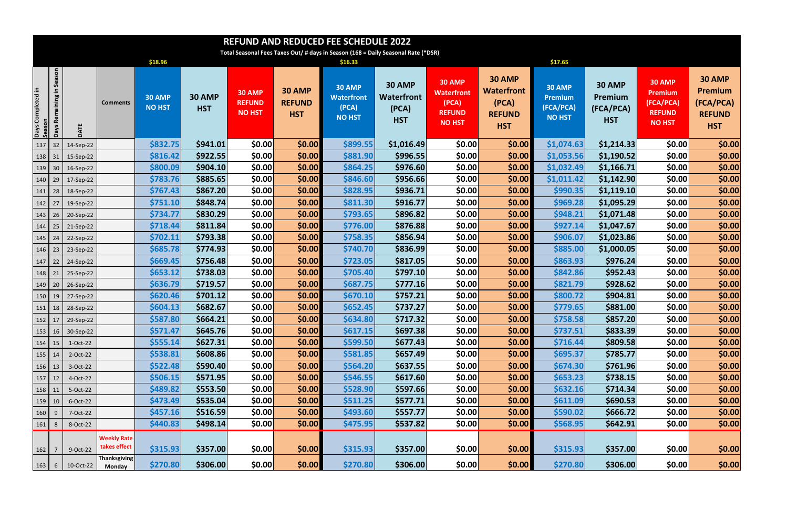|                                                                  | <b>REFUND AND REDUCED FEE SCHEDULE 2022</b>                                       |                  |                                    |                                |                             |                                          |                                              |                                                              |                                                           |                                                                               |                                                                            |                                                               |                                                     |                                                                                |                                                                             |
|------------------------------------------------------------------|-----------------------------------------------------------------------------------|------------------|------------------------------------|--------------------------------|-----------------------------|------------------------------------------|----------------------------------------------|--------------------------------------------------------------|-----------------------------------------------------------|-------------------------------------------------------------------------------|----------------------------------------------------------------------------|---------------------------------------------------------------|-----------------------------------------------------|--------------------------------------------------------------------------------|-----------------------------------------------------------------------------|
|                                                                  | Total Seasonal Fees Taxes Out/ # days in Season (168 = Daily Seasonal Rate (*DSR) |                  |                                    |                                |                             |                                          |                                              |                                                              |                                                           |                                                                               |                                                                            |                                                               |                                                     |                                                                                |                                                                             |
|                                                                  |                                                                                   |                  |                                    | \$18.96                        |                             |                                          |                                              | \$16.33                                                      |                                                           |                                                                               |                                                                            | \$17.65                                                       |                                                     |                                                                                |                                                                             |
| Days Completed in<br>Season                                      | Season<br>크.<br>Remaining<br><b>Days</b>                                          | DATE             | Comments                           | <b>30 AMP</b><br><b>NO HST</b> | <b>30 AMP</b><br><b>HST</b> | 30 AMP<br><b>REFUND</b><br><b>NO HST</b> | <b>30 AMP</b><br><b>REFUND</b><br><b>HST</b> | <b>30 AMP</b><br><b>Waterfront</b><br>(PCA)<br><b>NO HST</b> | <b>30 AMP</b><br><b>Waterfront</b><br>(PCA)<br><b>HST</b> | <b>30 AMP</b><br><b>Waterfront</b><br>(PCA)<br><b>REFUND</b><br><b>NO HST</b> | <b>30 AMP</b><br><b>Waterfront</b><br>(PCA)<br><b>REFUND</b><br><b>HST</b> | <b>30 AMP</b><br><b>Premium</b><br>(FCA/PCA)<br><b>NO HST</b> | <b>30 AMP</b><br>Premium<br>(FCA/PCA)<br><b>HST</b> | <b>30 AMP</b><br><b>Premium</b><br>(FCA/PCA)<br><b>REFUND</b><br><b>NO HST</b> | <b>30 AMP</b><br><b>Premium</b><br>(FCA/PCA)<br><b>REFUND</b><br><b>HST</b> |
| 137                                                              | $\vert$ 32                                                                        | 14-Sep-22        |                                    | \$832.75                       | \$941.01                    | \$0.00                                   | \$0.00                                       | \$899.55                                                     | \$1,016.49                                                | \$0.00                                                                        | \$0.00                                                                     | \$1,074.63                                                    | \$1,214.33                                          | \$0.00                                                                         | \$0.00                                                                      |
| $138$ 31                                                         |                                                                                   | 15-Sep-22        |                                    | \$816.42                       | \$922.55                    | \$0.00                                   | \$0.00]                                      | \$881.90                                                     | \$996.55                                                  | \$0.00                                                                        | \$0.00                                                                     | \$1,053.56                                                    | \$1,190.52                                          | \$0.00                                                                         | \$0.00                                                                      |
| $139$ 30                                                         |                                                                                   | 16-Sep-22        |                                    | \$800.09                       | \$904.10                    | \$0.00                                   | \$0.00]                                      | \$864.25                                                     | \$976.60                                                  | \$0.00                                                                        | \$0.00]                                                                    | \$1,032.49                                                    | \$1,166.71                                          | <b>\$0.00</b>                                                                  | \$0.00                                                                      |
| $140$ 29                                                         |                                                                                   | 17-Sep-22        |                                    | \$783.76                       | \$885.65                    | \$0.00                                   | \$0.00]                                      | \$846.60                                                     | \$956.66                                                  | \$0.00                                                                        | \$0.00]                                                                    | \$1,011.42                                                    | \$1,142.90                                          | \$0.00                                                                         | \$0.00                                                                      |
| $141$ 28                                                         |                                                                                   | 18-Sep-22        |                                    | \$767.43                       | \$867.20                    | \$0.00                                   | \$0.00                                       | \$828.95                                                     | \$936.71                                                  | \$0.00                                                                        | \$0.00]                                                                    | \$990.35                                                      | \$1,119.10                                          | <b>\$0.00</b>                                                                  | \$0.00                                                                      |
| 142                                                              | 27                                                                                | 19-Sep-22        |                                    | \$751.10                       | \$848.74                    | \$0.00                                   | \$0.00                                       | \$811.30                                                     | \$916.77                                                  | \$0.00                                                                        | \$0.00]                                                                    | \$969.28                                                      | \$1,095.29                                          | \$0.00                                                                         | \$0.00                                                                      |
| $143 \mid 26$                                                    |                                                                                   | 20-Sep-22        |                                    | \$734.77                       | \$830.29                    | \$0.00                                   | \$0.00                                       | \$793.65                                                     | \$896.82                                                  | \$0.00                                                                        | \$0.00]                                                                    | \$948.21                                                      | \$1,071.48                                          | <b>\$0.00</b>                                                                  | \$0.00                                                                      |
| 144                                                              | 25                                                                                | 21-Sep-22        |                                    | \$718.44                       | \$811.84                    | \$0.00                                   | \$0.00                                       | \$776.00                                                     | \$876.88                                                  | \$0.00                                                                        | \$0.00                                                                     | \$927.14                                                      | \$1,047.67                                          | <b>\$0.00</b>                                                                  | \$0.00                                                                      |
| 145                                                              | $\sqrt{24}$                                                                       | 22-Sep-22        |                                    | \$702.11                       | \$793.38                    | \$0.00                                   | \$0.00]                                      | \$758.35                                                     | \$856.94                                                  | \$0.00                                                                        | \$0.00                                                                     | \$906.07                                                      | \$1,023.86                                          | <b>\$0.00</b>                                                                  | \$0.00                                                                      |
| 146                                                              | $\vert$ 23                                                                        | 23-Sep-22        |                                    | \$685.78                       | \$774.93                    | \$0.00                                   | \$0.00                                       | \$740.70                                                     | \$836.99                                                  | \$0.00                                                                        | \$0.00                                                                     | \$885.00                                                      | \$1,000.05                                          | <b>\$0.00</b>                                                                  | \$0.00                                                                      |
| 147                                                              | 22                                                                                | 24-Sep-22        |                                    | \$669.45                       | \$756.48                    | \$0.00                                   | \$0.00]                                      | \$723.05                                                     | \$817.05                                                  | \$0.00                                                                        | \$0.00]                                                                    | \$863.93                                                      | \$976.24                                            | <b>\$0.00</b>                                                                  | \$0.00                                                                      |
| $148$ 21                                                         |                                                                                   | 25-Sep-22        |                                    | \$653.12                       | \$738.03                    | \$0.00                                   | \$0.00                                       | \$705.40                                                     | \$797.10                                                  | \$0.00                                                                        | \$0.00                                                                     | \$842.86                                                      | \$952.43                                            | <b>\$0.00</b>                                                                  | \$0.00                                                                      |
| $149$ 20                                                         |                                                                                   | 26-Sep-22        |                                    | \$636.79                       | \$719.57                    | \$0.00                                   | \$0.00                                       | \$687.75                                                     | \$777.16                                                  | \$0.00                                                                        | \$0.00                                                                     | \$821.79                                                      | \$928.62                                            | <b>\$0.00</b>                                                                  | \$0.00                                                                      |
| $150$ 19                                                         |                                                                                   | 27-Sep-22        |                                    | \$620.46                       | \$701.12                    | \$0.00                                   | \$0.00                                       | \$670.10                                                     | \$757.21                                                  | \$0.00                                                                        | \$0.00                                                                     | \$800.72                                                      | \$904.81                                            | <b>\$0.00</b>                                                                  | \$0.00                                                                      |
| $151$ 18                                                         |                                                                                   | 28-Sep-22        |                                    | \$604.13                       | \$682.67                    | \$0.00                                   | \$0.00]                                      | \$652.45                                                     | \$737.27                                                  | <b>\$0.00</b>                                                                 | \$0.00]                                                                    | \$779.65                                                      | \$881.00                                            | <b>\$0.00</b>                                                                  | \$0.00                                                                      |
|                                                                  |                                                                                   | 152 17 29-Sep-22 |                                    | \$587.80                       | \$664.21                    | \$0.00                                   | \$0.00                                       | \$634.80                                                     | \$717.32                                                  | \$0.00                                                                        | \$0.00                                                                     | \$758.58                                                      | \$857.20                                            | \$0.00                                                                         | \$0.00                                                                      |
| $153 \mid 16$                                                    |                                                                                   | 30-Sep-22        |                                    | \$571.47                       | \$645.76                    | \$0.00                                   | \$0.00                                       | \$617.15                                                     | \$697.38                                                  | \$0.00                                                                        | \$0.00                                                                     | \$737.51                                                      | \$833.39                                            | \$0.00                                                                         | \$0.00                                                                      |
| $154$ 15                                                         |                                                                                   | 1-Oct-22         |                                    | \$555.14                       | \$627.31                    | \$0.00                                   | \$0.00                                       | \$599.50                                                     | \$677.43                                                  | <b>\$0.00</b>                                                                 | \$0.00                                                                     | \$716.44                                                      | \$809.58                                            | <b>\$0.00</b>                                                                  | \$0.00                                                                      |
| $155$ 14                                                         |                                                                                   | 2-Oct-22         |                                    | \$538.81                       | \$608.86                    | \$0.00                                   | \$0.00                                       | \$581.85                                                     | \$657.49                                                  | \$0.00                                                                        | \$0.00                                                                     | \$695.37                                                      | \$785.77                                            | \$0.00                                                                         | \$0.00                                                                      |
| $156 \mid 13$                                                    |                                                                                   | 3-Oct-22         |                                    | \$522.48                       | \$590.40                    | \$0.00                                   | \$0.00                                       | \$564.20                                                     | \$637.55                                                  | <b>\$0.00</b>                                                                 | \$0.00                                                                     | \$674.30                                                      | \$761.96                                            | <b>\$0.00</b>                                                                  | \$0.00                                                                      |
| $157$ 12                                                         |                                                                                   | 4-Oct-22         |                                    | \$506.15                       | \$571.95                    | \$0.00                                   | \$0.00                                       | \$546.55                                                     | \$617.60                                                  | \$0.00                                                                        | \$0.00                                                                     | \$653.23\$                                                    | \$738.15                                            | \$0.00                                                                         | \$0.00                                                                      |
| $158$ 11                                                         |                                                                                   | 5-Oct-22         |                                    | \$489.82                       | \$553.50                    | \$0.00                                   | \$0.00                                       | \$528.90                                                     | \$597.66                                                  | \$0.00                                                                        | \$0.00                                                                     | \$632.16                                                      | \$714.34                                            | <b>\$0.00</b>                                                                  | \$0.00                                                                      |
| $159$ 10                                                         |                                                                                   | 6-Oct-22         |                                    | \$473.49                       | \$535.04                    | \$0.00                                   | \$0.00                                       | \$511.25                                                     | \$577.71                                                  | \$0.00                                                                        | \$0.00                                                                     | \$611.09                                                      | \$690.53                                            | \$0.00                                                                         | \$0.00                                                                      |
| $160$ 9                                                          |                                                                                   | 7-Oct-22         |                                    | \$457.16                       | \$516.59                    | \$0.00                                   | \$0.00                                       | \$493.60                                                     | \$557.77                                                  | <b>\$0.00</b>                                                                 | \$0.00                                                                     | \$590.02                                                      | \$666.72                                            | <b>\$0.00</b>                                                                  | \$0.00                                                                      |
| $161$ 8                                                          |                                                                                   | 8-Oct-22         |                                    | \$440.83                       | \$498.14                    | \$0.00                                   | \$0.00]                                      | \$475.95                                                     | \$537.82                                                  | \$0.00                                                                        | \$0.00]                                                                    | \$568.95                                                      | \$642.91                                            | \$0.00                                                                         | \$0.00                                                                      |
| $\begin{array}{ c c c }\n\hline\n162 & 7 \\ \hline\n\end{array}$ |                                                                                   | 9-Oct-22         | <b>Weekly Rate</b><br>takes effect | \$315.93                       | \$357.00                    | \$0.00                                   | \$0.00                                       | \$315.93                                                     | \$357.00                                                  | \$0.00                                                                        | \$0.00                                                                     | \$315.93                                                      | \$357.00                                            | \$0.00                                                                         | \$0.00                                                                      |
| $163 \mid 6$                                                     |                                                                                   | 10-Oct-22        | <b>Thanksgiving</b><br>Monday      | \$270.80                       | \$306.00                    | \$0.00                                   | \$0.00                                       | \$270.80                                                     | \$306.00                                                  | \$0.00                                                                        | \$0.00                                                                     | \$270.80                                                      | \$306.00                                            | \$0.00                                                                         | \$0.00                                                                      |